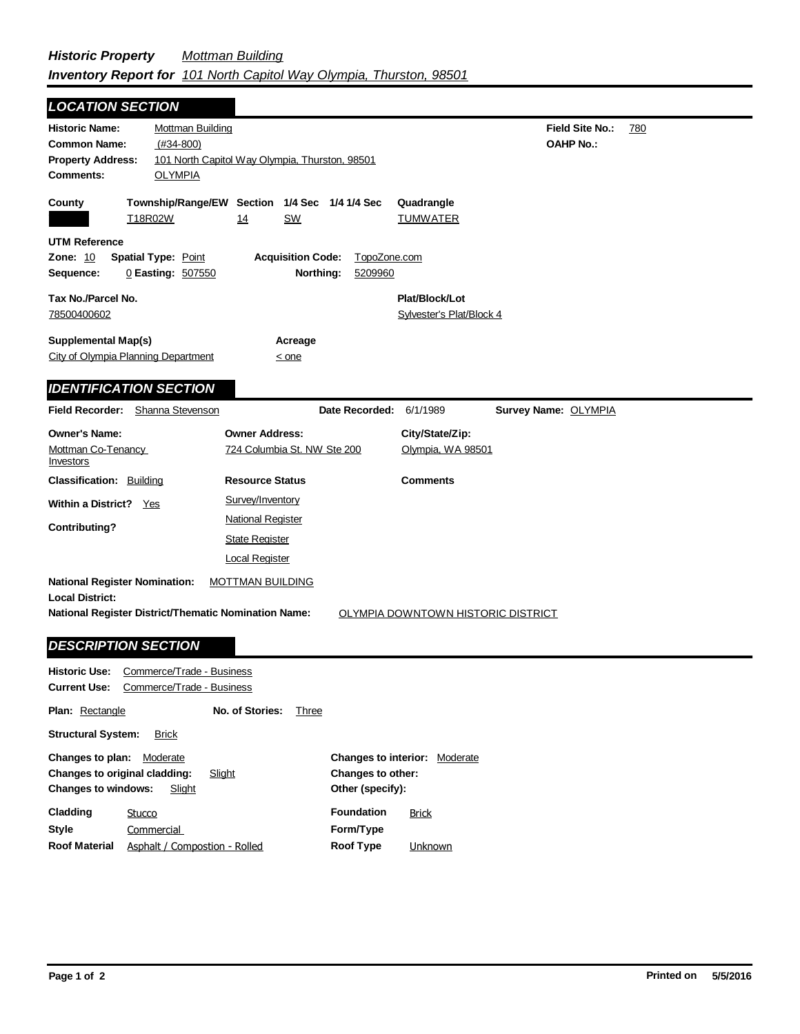| <b>LOCATION SECTION</b>                                                                                                                                  |                                                                            |                                                    |                                            |                        |     |
|----------------------------------------------------------------------------------------------------------------------------------------------------------|----------------------------------------------------------------------------|----------------------------------------------------|--------------------------------------------|------------------------|-----|
| <b>Historic Name:</b><br><b>Mottman Building</b><br>$(H34-800)$<br><b>Common Name:</b><br><b>Property Address:</b><br><b>Comments:</b><br><b>OLYMPIA</b> | 101 North Capitol Way Olympia, Thurston, 98501                             |                                                    | <b>OAHP No.:</b>                           | <b>Field Site No.:</b> | 780 |
| County<br>T18R02W                                                                                                                                        | Township/Range/EW Section 1/4 Sec 1/4 1/4 Sec<br>14<br><u>SW</u>           |                                                    | Quadrangle<br><b>TUMWATER</b>              |                        |     |
| UTM Reference<br><b>Zone: 10</b><br><b>Spatial Type: Point</b><br>Sequence:<br>0 Easting: 507550                                                         | <b>Acquisition Code:</b><br>Northing:                                      | TopoZone.com<br>5209960                            |                                            |                        |     |
| Tax No./Parcel No.<br>78500400602                                                                                                                        |                                                                            |                                                    | Plat/Block/Lot<br>Sylvester's Plat/Block 4 |                        |     |
| <b>Supplemental Map(s)</b><br>City of Olympia Planning Department                                                                                        | Acreage<br>$\leq$ one                                                      |                                                    |                                            |                        |     |
| <b>IDENTIFICATION SECTION</b>                                                                                                                            |                                                                            |                                                    |                                            |                        |     |
| Field Recorder: Shanna Stevenson                                                                                                                         |                                                                            | Date Recorded: 6/1/1989                            | Survey Name: OLYMPIA                       |                        |     |
| <b>Owner's Name:</b><br>Mottman Co-Tenancy<br><u>Investors</u>                                                                                           | <b>Owner Address:</b><br>724 Columbia St. NW Ste 200                       |                                                    | City/State/Zip:<br>Olympia, WA 98501       |                        |     |
| <b>Classification: Building</b>                                                                                                                          | <b>Resource Status</b>                                                     |                                                    | <b>Comments</b>                            |                        |     |
| Within a District? Yes                                                                                                                                   | Survey/Inventory                                                           |                                                    |                                            |                        |     |
| <b>Contributing?</b>                                                                                                                                     | <b>National Register</b><br><b>State Register</b><br><b>Local Register</b> |                                                    |                                            |                        |     |
| <b>National Register Nomination:</b><br><b>Local District:</b><br><b>National Register District/Thematic Nomination Name:</b>                            | <b>MOTTMAN BUILDING</b>                                                    |                                                    | OLYMPIA DOWNTOWN HISTORIC DISTRICT         |                        |     |
| <b>DESCRIPTION SECTION</b>                                                                                                                               |                                                                            |                                                    |                                            |                        |     |
| <b>Historic Use:</b> Commerce/Trade - Business<br>Current Use: Commerce/Trade - Business                                                                 |                                                                            |                                                    |                                            |                        |     |
| <b>Plan: Rectangle</b>                                                                                                                                   | No. of Stories:<br><b>Three</b>                                            |                                                    |                                            |                        |     |
| <b>Structural System:</b><br><b>Brick</b>                                                                                                                |                                                                            |                                                    |                                            |                        |     |
| Changes to plan: Moderate<br>Changes to original cladding:<br><b>Changes to windows:</b><br>Slight                                                       | Slight                                                                     | Changes to other:<br>Other (specify):              | Changes to interior: Moderate              |                        |     |
| Cladding<br><b>Stucco</b><br><b>Style</b><br>Commercial<br>Roof Material<br>Asphalt / Compostion - Rolled                                                |                                                                            | <b>Foundation</b><br>Form/Type<br><b>Roof Type</b> | <b>Brick</b><br>Unknown                    |                        |     |